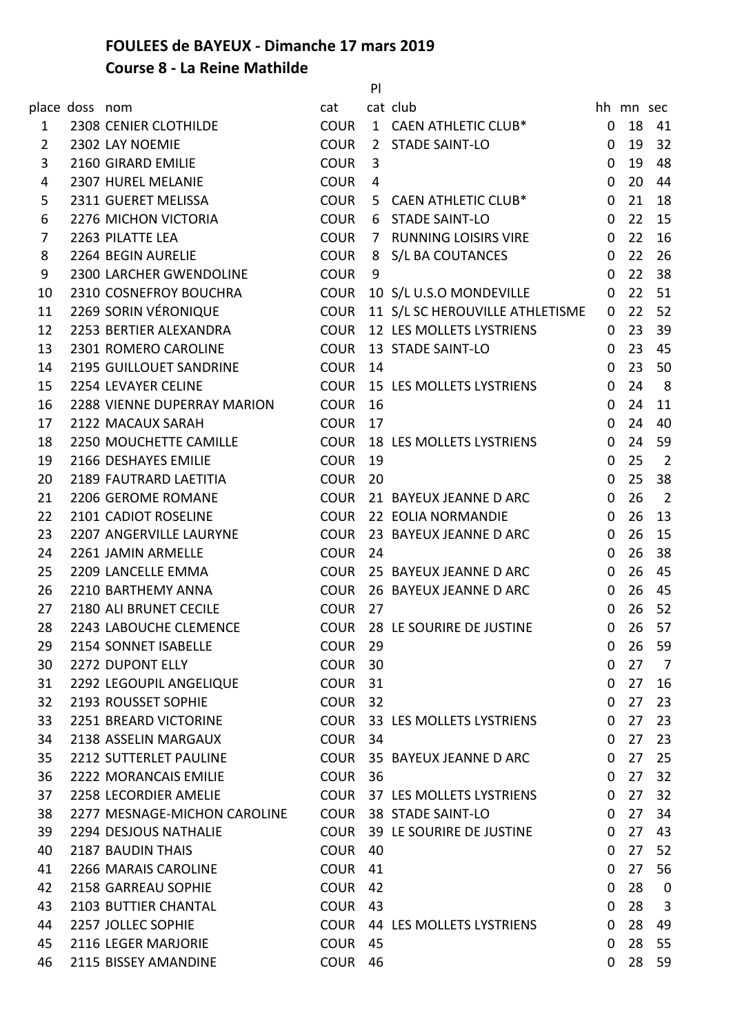## **FOULEES de BAYEUX - Dimanche 17 mars 2019**

## **Course 8 - La Reine Mathilde**

|                |                |                              |                    | P    |                                      |              |           |                         |
|----------------|----------------|------------------------------|--------------------|------|--------------------------------------|--------------|-----------|-------------------------|
|                | place doss nom |                              | cat                |      | cat club                             |              | hh mn sec |                         |
| 1              |                | 2308 CENIER CLOTHILDE        | <b>COUR</b>        |      | 1 CAEN ATHLETIC CLUB*                | 0            | 18        | 41                      |
| $\overline{2}$ |                | 2302 LAY NOEMIE              | <b>COUR</b>        |      | 2 STADE SAINT-LO                     | 0            | 19        | 32                      |
| 3              |                | 2160 GIRARD EMILIE           | <b>COUR</b>        | 3    |                                      | 0            | 19        | 48                      |
| 4              |                | 2307 HUREL MELANIE           | <b>COUR</b>        | 4    |                                      | 0            | 20        | 44                      |
| 5              |                | 2311 GUERET MELISSA          | <b>COUR</b>        |      | 5 CAEN ATHLETIC CLUB*                | $\mathbf 0$  | 21        | 18                      |
| 6              |                | 2276 MICHON VICTORIA         | <b>COUR</b>        |      | 6 STADE SAINT-LO                     | 0            | 22        | 15                      |
| 7              |                | 2263 PILATTE LEA             | <b>COUR</b>        |      | 7 RUNNING LOISIRS VIRE               | 0            | 22        | 16                      |
| 8              |                | 2264 BEGIN AURELIE           | <b>COUR</b>        |      | 8 S/L BA COUTANCES                   | 0            | 22        | 26                      |
| 9              |                | 2300 LARCHER GWENDOLINE      | <b>COUR</b>        | 9    |                                      | $\Omega$     | 22        | 38                      |
| 10             |                | 2310 COSNEFROY BOUCHRA       | <b>COUR</b>        |      | 10 S/L U.S.O MONDEVILLE              | $\mathbf 0$  | 22        | 51                      |
| 11             |                | 2269 SORIN VÉRONIQUE         |                    |      | COUR 11 S/L SC HEROUVILLE ATHLETISME | $\mathbf{0}$ | 22        | 52                      |
| 12             |                | 2253 BERTIER ALEXANDRA       | <b>COUR</b>        |      | <b>12 LES MOLLETS LYSTRIENS</b>      | $\Omega$     | 23        | 39                      |
| 13             |                | 2301 ROMERO CAROLINE         | <b>COUR</b>        |      | 13 STADE SAINT-LO                    | 0            | 23        | 45                      |
| 14             |                | 2195 GUILLOUET SANDRINE      | <b>COUR</b>        | 14   |                                      | 0            | 23        | 50                      |
| 15             |                | 2254 LEVAYER CELINE          | <b>COUR</b>        |      | <b>15 LES MOLLETS LYSTRIENS</b>      | 0            | 24        | 8                       |
| 16             |                | 2288 VIENNE DUPERRAY MARION  | <b>COUR</b>        | 16   |                                      | 0            | 24        | 11                      |
| 17             |                | 2122 MACAUX SARAH            | <b>COUR</b>        | 17   |                                      | 0            | 24        | 40                      |
| 18             |                | 2250 MOUCHETTE CAMILLE       | COUR               |      | 18 LES MOLLETS LYSTRIENS             | 0            | 24        | 59                      |
| 19             |                | 2166 DESHAYES EMILIE         | <b>COUR</b>        | 19   |                                      | 0            | 25        | $\overline{2}$          |
| 20             |                | 2189 FAUTRARD LAETITIA       | <b>COUR</b>        | 20   |                                      | 0            | 25        | 38                      |
| 21             |                | 2206 GEROME ROMANE           |                    |      | COUR 21 BAYEUX JEANNE D ARC          | 0            | 26        | $\overline{2}$          |
| 22             |                | 2101 CADIOT ROSELINE         |                    |      | COUR 22 EOLIA NORMANDIE              | 0            | 26        | 13                      |
| 23             |                | 2207 ANGERVILLE LAURYNE      |                    |      | COUR 23 BAYEUX JEANNE D ARC          | 0            | 26        | 15                      |
| 24             |                | 2261 JAMIN ARMELLE           | <b>COUR</b>        | 24   |                                      | $\Omega$     | 26        | 38                      |
| 25             |                | 2209 LANCELLE EMMA           |                    |      | COUR 25 BAYEUX JEANNE D ARC          | $\Omega$     | 26        | 45                      |
| 26             |                | 2210 BARTHEMY ANNA           | COUR               |      | 26 BAYEUX JEANNE D ARC               | $\mathbf{0}$ | 26        | 45                      |
| 27             |                | 2180 ALI BRUNET CECILE       | <b>COUR</b>        | 27   |                                      | $\Omega$     | 26        | 52                      |
| 28             |                | 2243 LABOUCHE CLEMENCE       |                    |      | COUR 28 LE SOURIRE DE JUSTINE        | $\mathbf{0}$ | 26        | 57                      |
| 29             |                | 2154 SONNET ISABELLE         | COUR <sub>29</sub> |      |                                      | $\mathbf{0}$ | 26        | 59                      |
| 30             |                | 2272 DUPONT ELLY             | <b>COUR</b>        | 30   |                                      | $\mathbf{0}$ | 27        | $\overline{7}$          |
| 31             |                | 2292 LEGOUPIL ANGELIQUE      | COUR <sub>31</sub> |      |                                      | $\mathbf{0}$ | 27        | 16                      |
| 32             |                | 2193 ROUSSET SOPHIE          | COUR <sub>32</sub> |      |                                      | $\Omega$     | 27        | 23                      |
| 33             |                | 2251 BREARD VICTORINE        |                    |      | COUR 33 LES MOLLETS LYSTRIENS        | $\Omega$     | 27        | 23                      |
| 34             |                | 2138 ASSELIN MARGAUX         | <b>COUR</b>        | -34  |                                      | $\mathbf{0}$ | 27        | 23                      |
| 35             |                | 2212 SUTTERLET PAULINE       |                    |      | COUR 35 BAYEUX JEANNE D ARC          | $\mathbf{0}$ | 27        | 25                      |
| 36             |                | 2222 MORANCAIS EMILIE        | COUR <sub>36</sub> |      |                                      | $\mathbf{0}$ | 27        | 32                      |
| 37             |                | 2258 LECORDIER AMELIE        |                    |      | COUR 37 LES MOLLETS LYSTRIENS        | 0            | 27        | 32                      |
| 38             |                | 2277 MESNAGE-MICHON CAROLINE |                    |      | COUR 38 STADE SAINT-LO               | $\mathbf 0$  | 27        | 34                      |
| 39             |                | 2294 DESJOUS NATHALIE        |                    |      | COUR 39 LE SOURIRE DE JUSTINE        | $\mathbf{0}$ | 27        | 43                      |
| 40             |                | 2187 BAUDIN THAIS            | COUR 40            |      |                                      | $\mathbf{0}$ | 27        | 52                      |
| 41             |                | 2266 MARAIS CAROLINE         | <b>COUR</b>        | 41   |                                      | $\Omega$     | 27        | 56                      |
| 42             |                | 2158 GARREAU SOPHIE          | <b>COUR</b>        | 42   |                                      | $\mathbf 0$  | 28        | $\overline{\mathbf{0}}$ |
| 43             |                | 2103 BUTTIER CHANTAL         | <b>COUR</b>        | - 43 |                                      | $\Omega$     | 28        | 3                       |
| 44             |                | 2257 JOLLEC SOPHIE           |                    |      | COUR 44 LES MOLLETS LYSTRIENS        | $\mathbf 0$  | 28        | 49                      |
| 45             |                | 2116 LEGER MARJORIE          | <b>COUR</b>        | 45   |                                      | $\Omega$     | 28        | 55                      |
| 46             |                | 2115 BISSEY AMANDINE         | <b>COUR</b>        | - 46 |                                      | $\mathbf{0}$ |           | 28 59                   |
|                |                |                              |                    |      |                                      |              |           |                         |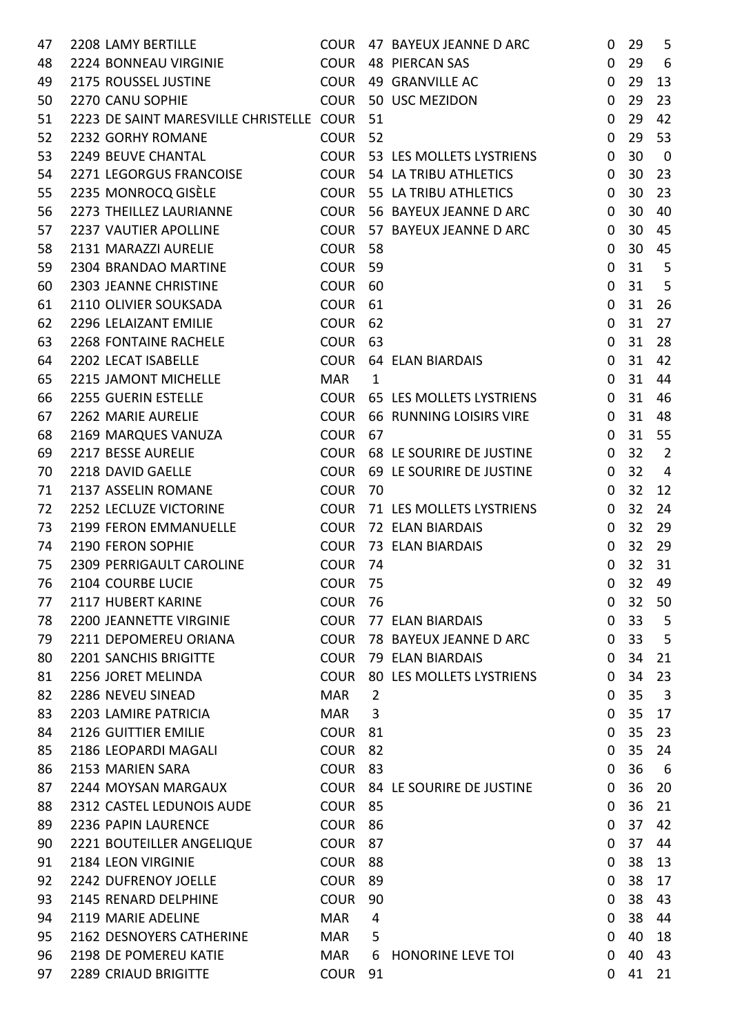| 47       | 2208 LAMY BERTILLE                                       |                    |              | COUR 47 BAYEUX JEANNE D ARC       | 0              | 29              | 5              |
|----------|----------------------------------------------------------|--------------------|--------------|-----------------------------------|----------------|-----------------|----------------|
| 48       | 2224 BONNEAU VIRGINIE                                    |                    |              | COUR 48 PIERCAN SAS               | $\mathbf 0$    | 29              | 6              |
| 49       | 2175 ROUSSEL JUSTINE                                     | COUR               |              | 49 GRANVILLE AC                   | 0              | 29              | 13             |
| 50       | 2270 CANU SOPHIE                                         |                    |              | COUR 50 USC MEZIDON               | $\mathbf 0$    | 29              | 23             |
| 51       | 2223 DE SAINT MARESVILLE CHRISTELLE COUR                 |                    | 51           |                                   | $\mathbf{0}$   | 29              | 42             |
| 52       | 2232 GORHY ROMANE                                        | COUR               | 52           |                                   | $\mathbf 0$    | 29              | 53             |
| 53       | 2249 BEUVE CHANTAL                                       |                    |              | COUR 53 LES MOLLETS LYSTRIENS     | 0              | 30              | $\overline{0}$ |
| 54       | 2271 LEGORGUS FRANCOISE                                  |                    |              | COUR 54 LA TRIBU ATHLETICS        | $\mathbf 0$    | 30              | 23             |
| 55       | 2235 MONROCQ GISÈLE                                      |                    |              | <b>COUR 55 LA TRIBU ATHLETICS</b> | $\Omega$       | 30              | 23             |
| 56       | 2273 THEILLEZ LAURIANNE                                  |                    |              | COUR 56 BAYEUX JEANNE D ARC       | $\mathbf{0}$   | 30              | 40             |
| 57       | 2237 VAUTIER APOLLINE                                    |                    |              | COUR 57 BAYEUX JEANNE D ARC       | $\Omega$       | 30              | 45             |
| 58       | 2131 MARAZZI AURELIE                                     | COUR 58            |              |                                   | 0              | 30              | 45             |
| 59       | 2304 BRANDAO MARTINE                                     | <b>COUR</b>        | 59           |                                   | $\mathbf{0}$   | 31              | 5              |
| 60       | 2303 JEANNE CHRISTINE                                    | COUR               | 60           |                                   | $\Omega$       | 31              | 5              |
| 61       | 2110 OLIVIER SOUKSADA                                    | COUR               | 61           |                                   | 0              | 31              | 26             |
| 62       | 2296 LELAIZANT EMILIE                                    | COUR <sub>62</sub> |              |                                   | $\mathbf{0}$   | 31              | 27             |
| 63       | 2268 FONTAINE RACHELE                                    | COUR               | 63           |                                   | 0              | 31              | 28             |
| 64       | 2202 LECAT ISABELLE                                      |                    |              | COUR 64 ELAN BIARDAIS             | $\mathbf{0}$   | 31              | 42             |
| 65       | 2215 JAMONT MICHELLE                                     | MAR                | $\mathbf{1}$ |                                   | $\mathbf{0}$   | 31              | 44             |
| 66       | 2255 GUERIN ESTELLE                                      |                    |              | COUR 65 LES MOLLETS LYSTRIENS     | $\Omega$       | 31              | 46             |
| 67       | 2262 MARIE AURELIE                                       |                    |              | COUR 66 RUNNING LOISIRS VIRE      | $\mathbf 0$    | 31              | 48             |
| 68       | 2169 MARQUES VANUZA                                      | <b>COUR</b>        | 67           |                                   | $\mathbf{0}$   | 31              | 55             |
| 69       | 2217 BESSE AURELIE                                       |                    |              | COUR 68 LE SOURIRE DE JUSTINE     | $\mathbf 0$    | 32              | $\overline{2}$ |
| 70       | 2218 DAVID GAELLE                                        | COUR               |              | 69 LE SOURIRE DE JUSTINE          | $\Omega$       | 32              | 4              |
| 71       | 2137 ASSELIN ROMANE                                      | COUR <sub>70</sub> |              |                                   | $\mathbf 0$    | 32              | 12             |
| 72       | 2252 LECLUZE VICTORINE                                   |                    |              | COUR 71 LES MOLLETS LYSTRIENS     | 0              | 32              | 24             |
| 73       | 2199 FERON EMMANUELLE                                    |                    |              | COUR 72 ELAN BIARDAIS             | $\mathbf 0$    | 32              | 29             |
| 74       | 2190 FERON SOPHIE                                        |                    |              | COUR 73 ELAN BIARDAIS             | $\Omega$       | 32              | 29             |
| 75       | 2309 PERRIGAULT CAROLINE                                 | COUR <sub>74</sub> |              |                                   | $\mathbf{0}$   | 32              | 31             |
|          | 2104 COURBE LUCIE                                        | COUR <sub>75</sub> |              |                                   | $\mathbf{0}$   | 32 <sup>2</sup> | 49             |
| 76<br>77 | 2117 HUBERT KARINE                                       | COUR <sub>76</sub> |              |                                   | $\Omega$       | 32              | 50             |
| 78       | 2200 JEANNETTE VIRGINIE                                  |                    |              | COUR 77 ELAN BIARDAIS             | $\mathbf 0$    | 33              | 5              |
| 79       | 2211 DEPOMEREU ORIANA                                    |                    |              | COUR 78 BAYEUX JEANNE D ARC       | $\mathbf{0}$   | 33              | 5              |
|          | 2201 SANCHIS BRIGITTE COUR 79 ELAN BIARDAIS              |                    |              |                                   | $\overline{0}$ | 34              | 21             |
| 80       |                                                          |                    |              | COUR 80 LES MOLLETS LYSTRIENS     | $\Omega$       | 34              | 23             |
| 81       | 2256 JORET MELINDA<br>2286 NEVEU SINEAD                  | MAR                |              |                                   |                | 35              |                |
| 82       |                                                          |                    | 2            |                                   | $\mathbf{0}$   |                 | $\overline{3}$ |
| 83       | 2203 LAMIRE PATRICIA<br>2126 GUITTIER EMILIE             | MAR                | 3            |                                   | $\mathbf{0}$   | 35              | 17             |
| 84       |                                                          | COUR <sub>81</sub> |              |                                   | $\Omega$       | 35              | 23             |
| 85       | 2186 LEOPARDI MAGALI                                     | COUR <sub>82</sub> |              |                                   | $\mathbf{0}$   | 35              | 24             |
| 86       | 2153 MARIEN SARA                                         | COUR 83            |              |                                   | 0              | 36              | 6              |
| 87       | 2244 MOYSAN MARGAUX <b>COUR 84 LE SOURIRE DE JUSTINE</b> |                    |              |                                   | $\Omega$       | 36 20           |                |
| 88       | 2312 CASTEL LEDUNOIS AUDE COUR 85                        |                    |              |                                   | $\mathbf{0}$   | 36              | 21             |
| 89       | 2236 PAPIN LAURENCE                                      | <b>COUR</b>        | 86           |                                   | $\mathbf{0}$   | 37              | 42             |
| 90       | 2221 BOUTEILLER ANGELIQUE<br><b>COUR 87</b>              |                    |              |                                   | $\mathbf{0}$   | 37              | 44             |
| 91       | 2184 LEON VIRGINIE                                       | COUR 88            |              |                                   | $\mathbf{0}$   | 38              | -13            |
| 92       | 2242 DUFRENOY JOELLE                                     | COUR 89            |              |                                   | $\mathbf 0$    | 38              | 17             |
| 93       | 2145 RENARD DELPHINE                                     | COUR               | 90           |                                   | $\mathbf{0}$   | 38              | 43             |
| 94       | 2119 MARIE ADELINE                                       | MAR                | 4            |                                   | $\mathbf 0$    | 38              | 44             |
| 95       | 2162 DESNOYERS CATHERINE MAR                             |                    | 5            |                                   | $\mathbf{0}$   | 40              | 18             |
| 96       | 2198 DE POMEREU KATIE                                    |                    |              | MAR 6 HONORINE LEVE TOI           | $\mathbf{0}$   | 40              | 43             |
| 97       | 2289 CRIAUD BRIGITTE                                     | COUR <sub>91</sub> |              |                                   | $\mathbf{0}$   | 41              | 21             |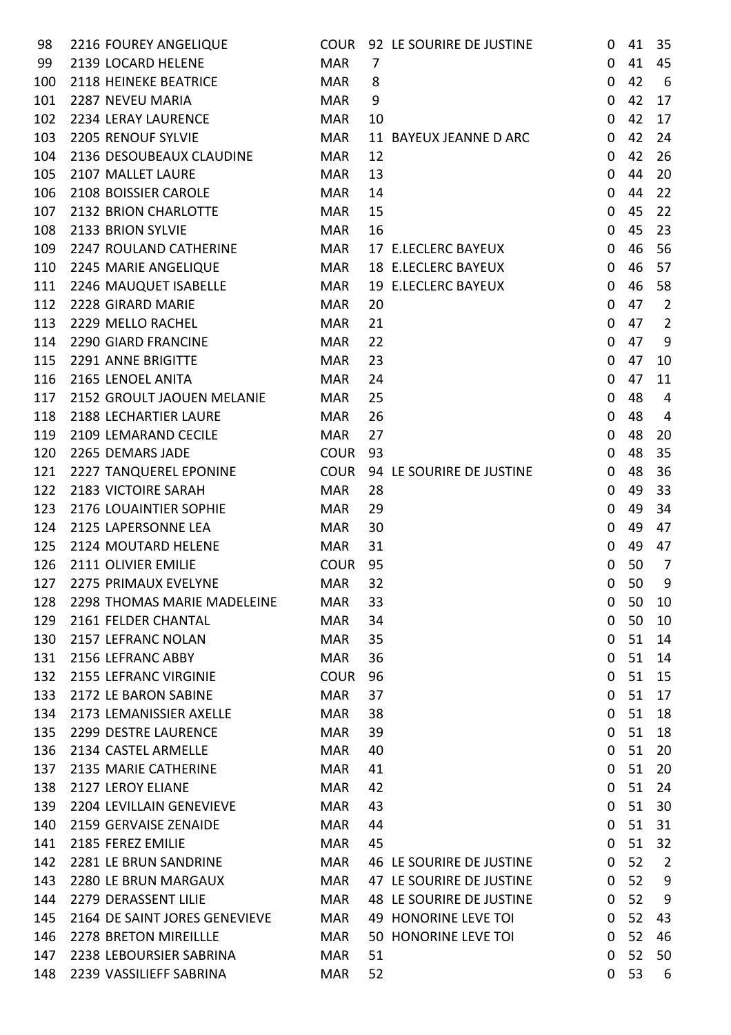| 98  | 2216 FOUREY ANGELIQUE                                  | <b>COUR</b> | 92 LE SOURIRE DE JUSTINE                             | 0                    | 41       | 35             |
|-----|--------------------------------------------------------|-------------|------------------------------------------------------|----------------------|----------|----------------|
| 99  | 2139 LOCARD HELENE                                     | <b>MAR</b>  | 7                                                    | $\mathbf{0}$         | 41       | 45             |
| 100 | 2118 HEINEKE BEATRICE                                  | <b>MAR</b>  | 8                                                    | 0                    | 42       | 6              |
| 101 | 2287 NEVEU MARIA                                       | <b>MAR</b>  | 9                                                    | 0                    | 42       | 17             |
| 102 | 2234 LERAY LAURENCE                                    | <b>MAR</b>  | 10                                                   | 0                    | 42       | 17             |
| 103 | 2205 RENOUF SYLVIE                                     | <b>MAR</b>  | 11 BAYEUX JEANNE D ARC                               | $\mathbf 0$          | 42       | 24             |
| 104 | 2136 DESOUBEAUX CLAUDINE                               | <b>MAR</b>  | 12                                                   | $\Omega$             | 42       | 26             |
| 105 | 2107 MALLET LAURE                                      | <b>MAR</b>  | 13                                                   | 0                    | 44       | 20             |
| 106 | 2108 BOISSIER CAROLE                                   | <b>MAR</b>  | 14                                                   | 0                    | 44       | 22             |
| 107 | 2132 BRION CHARLOTTE                                   | <b>MAR</b>  | 15                                                   | $\mathbf 0$          | 45       | 22             |
| 108 | 2133 BRION SYLVIE                                      | <b>MAR</b>  | 16                                                   | 0                    | 45       | 23             |
| 109 | 2247 ROULAND CATHERINE                                 | <b>MAR</b>  | 17 E.LECLERC BAYEUX                                  | $\mathbf 0$          | 46       | 56             |
| 110 | 2245 MARIE ANGELIQUE                                   | <b>MAR</b>  | 18 E.LECLERC BAYEUX                                  | $\mathbf 0$          | 46       | 57             |
| 111 | 2246 MAUQUET ISABELLE                                  | <b>MAR</b>  | 19 E.LECLERC BAYEUX                                  | $\mathbf 0$          | 46       | 58             |
| 112 | 2228 GIRARD MARIE                                      | <b>MAR</b>  | 20                                                   | 0                    | 47       | $\overline{2}$ |
| 113 | 2229 MELLO RACHEL                                      | <b>MAR</b>  | 21                                                   | $\Omega$             | 47       | $\overline{2}$ |
| 114 | 2290 GIARD FRANCINE                                    | <b>MAR</b>  | 22                                                   | 0                    | 47       | 9              |
| 115 | 2291 ANNE BRIGITTE                                     | <b>MAR</b>  | 23                                                   | 0                    | 47       | 10             |
| 116 | 2165 LENOEL ANITA                                      | <b>MAR</b>  | 24                                                   | 0                    | 47       | 11             |
| 117 | 2152 GROULT JAOUEN MELANIE                             | <b>MAR</b>  | 25                                                   | 0                    | 48       | 4              |
| 118 | 2188 LECHARTIER LAURE                                  | <b>MAR</b>  | 26                                                   | 0                    | 48       | 4              |
| 119 | 2109 LEMARAND CECILE                                   | <b>MAR</b>  | 27                                                   | 0                    | 48       | 20             |
| 120 | 2265 DEMARS JADE                                       | <b>COUR</b> | 93                                                   | 0                    | 48       | 35             |
| 121 | 2227 TANQUEREL EPONINE                                 | <b>COUR</b> | 94 LE SOURIRE DE JUSTINE                             | $\mathbf 0$          | 48       | 36             |
| 122 | 2183 VICTOIRE SARAH                                    | <b>MAR</b>  | 28                                                   | 0                    | 49       | 33             |
| 123 | 2176 LOUAINTIER SOPHIE                                 | <b>MAR</b>  | 29                                                   | 0                    | 49       | 34             |
| 124 | 2125 LAPERSONNE LEA                                    | <b>MAR</b>  | 30                                                   | 0                    | 49       | 47             |
| 125 | 2124 MOUTARD HELENE                                    | <b>MAR</b>  | 31                                                   | 0                    | 49       | 47             |
| 126 | 2111 OLIVIER EMILIE                                    | <b>COUR</b> | 95                                                   | $\mathbf 0$          | 50       | $\overline{7}$ |
| 127 | 2275 PRIMAUX EVELYNE                                   | <b>MAR</b>  | 32                                                   | 0                    | 50       | 9              |
| 128 | 2298 THOMAS MARIE MADELEINE                            | MAR         | 33                                                   | 0                    | 50       | 10             |
| 129 | 2161 FELDER CHANTAL                                    | <b>MAR</b>  | 34                                                   | 0                    | 50       | 10             |
| 130 | 2157 LEFRANC NOLAN                                     | <b>MAR</b>  | 35                                                   | 0                    | 51       | 14             |
| 131 | 2156 LEFRANC ABBY                                      | <b>MAR</b>  | 36                                                   | 0                    | 51       | 14             |
| 132 | 2155 LEFRANC VIRGINIE                                  | <b>COUR</b> | 96                                                   | 0                    | 51       | 15             |
| 133 | 2172 LE BARON SABINE                                   | <b>MAR</b>  | 37                                                   | 0                    | 51       | 17             |
| 134 | 2173 LEMANISSIER AXELLE                                | <b>MAR</b>  | 38                                                   | 0                    | 51       | 18             |
| 135 | 2299 DESTRE LAURENCE                                   | <b>MAR</b>  | 39                                                   | 0                    | 51       | 18             |
| 136 | 2134 CASTEL ARMELLE                                    | <b>MAR</b>  | 40                                                   | 0                    | 51       | 20             |
| 137 | 2135 MARIE CATHERINE                                   | <b>MAR</b>  | 41                                                   | 0                    | 51       | 20             |
| 138 | 2127 LEROY ELIANE                                      | <b>MAR</b>  | 42                                                   | 0                    | 51       | 24             |
| 139 | 2204 LEVILLAIN GENEVIEVE                               | <b>MAR</b>  | 43                                                   | 0                    | 51       | 30             |
| 140 | 2159 GERVAISE ZENAIDE                                  | <b>MAR</b>  | 44                                                   | 0                    | 51       | 31             |
| 141 | 2185 FEREZ EMILIE                                      | <b>MAR</b>  | 45                                                   | 0                    | 51       | 32             |
| 142 | 2281 LE BRUN SANDRINE                                  |             | 46 LE SOURIRE DE JUSTINE                             | $\Omega$             | 52       |                |
|     |                                                        | MAR         |                                                      |                      |          | $\overline{2}$ |
| 143 | 2280 LE BRUN MARGAUX<br>2279 DERASSENT LILIE           | MAR         | 47 LE SOURIRE DE JUSTINE<br>48 LE SOURIRE DE JUSTINE | $\Omega$<br>$\Omega$ | 52<br>52 | 9              |
| 144 |                                                        | MAR         |                                                      |                      |          | 9              |
| 145 | 2164 DE SAINT JORES GENEVIEVE<br>2278 BRETON MIREILLLE | MAR         | 49 HONORINE LEVE TOI                                 | $\Omega$             | 52       | 43             |
| 146 |                                                        | MAR         | 50 HONORINE LEVE TOI                                 | 0                    | 52       | 46             |
| 147 | 2238 LEBOURSIER SABRINA                                | <b>MAR</b>  | 51                                                   | $\mathbf{0}$         | 52       | 50             |
| 148 | 2239 VASSILIEFF SABRINA                                | <b>MAR</b>  | 52                                                   | 0                    | 53       | 6              |